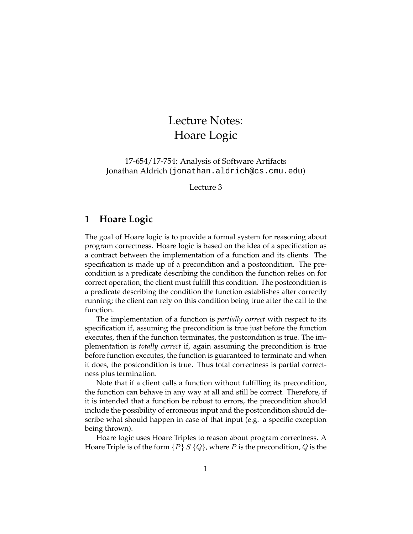## Lecture Notes: Hoare Logic

17-654/17-754: Analysis of Software Artifacts Jonathan Aldrich (jonathan.aldrich@cs.cmu.edu)

Lecture 3

## **1 Hoare Logic**

The goal of Hoare logic is to provide a formal system for reasoning about program correctness. Hoare logic is based on the idea of a specification as a contract between the implementation of a function and its clients. The specification is made up of a precondition and a postcondition. The precondition is a predicate describing the condition the function relies on for correct operation; the client must fulfill this condition. The postcondition is a predicate describing the condition the function establishes after correctly running; the client can rely on this condition being true after the call to the function.

The implementation of a function is *partially correct* with respect to its specification if, assuming the precondition is true just before the function executes, then if the function terminates, the postcondition is true. The implementation is *totally correct* if, again assuming the precondition is true before function executes, the function is guaranteed to terminate and when it does, the postcondition is true. Thus total correctness is partial correctness plus termination.

Note that if a client calls a function without fulfilling its precondition, the function can behave in any way at all and still be correct. Therefore, if it is intended that a function be robust to errors, the precondition should include the possibility of erroneous input and the postcondition should describe what should happen in case of that input (e.g. a specific exception being thrown).

Hoare logic uses Hoare Triples to reason about program correctness. A Hoare Triple is of the form  $\{P\} S \{Q\}$ , where P is the precondition, Q is the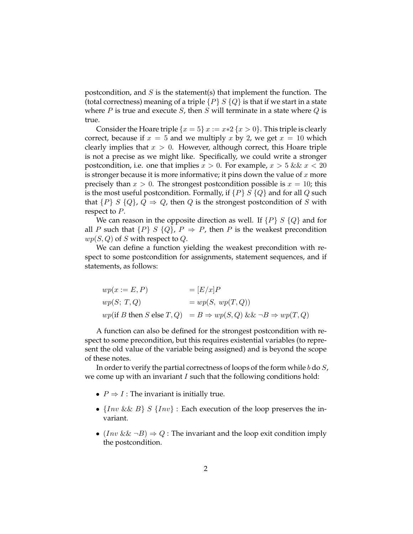postcondition, and  $S$  is the statement(s) that implement the function. The (total correctness) meaning of a triple  $\{P\} S \{Q\}$  is that if we start in a state where  $P$  is true and execute  $S$ , then  $S$  will terminate in a state where  $Q$  is true.

Consider the Hoare triple  $\{x = 5\} x := x * 2 \{x > 0\}$ . This triple is clearly correct, because if  $x = 5$  and we multiply x by 2, we get  $x = 10$  which clearly implies that  $x > 0$ . However, although correct, this Hoare triple is not a precise as we might like. Specifically, we could write a stronger postcondition, i.e. one that implies  $x > 0$ . For example,  $x > 5$  &  $x < 20$ is stronger because it is more informative; it pins down the value of  $x$  more precisely than  $x > 0$ . The strongest postcondition possible is  $x = 10$ ; this is the most useful postcondition. Formally, if  $\{P\} S \{Q\}$  and for all Q such that  $\{P\} S \{Q\} Q \Rightarrow Q$ , then Q is the strongest postcondition of S with respect to  $P$ .

We can reason in the opposite direction as well. If  $\{P\} S \{Q\}$  and for all P such that  $\{P\} S \{Q\}$ ,  $P \Rightarrow P$ , then P is the weakest precondition  $wp(S, Q)$  of S with respect to Q.

We can define a function yielding the weakest precondition with respect to some postcondition for assignments, statement sequences, and if statements, as follows:

| $wp(x := E, P)$ | $=[E/x]P$                                                                                                     |
|-----------------|---------------------------------------------------------------------------------------------------------------|
| wp(S; T, Q)     | $=wp(S, wp(T,Q))$                                                                                             |
|                 | <i>wp</i> (if <i>B</i> then <i>S</i> else $T, Q$ ) = $B \Rightarrow wp(S, Q) \&\&\neg B \Rightarrow wp(T, Q)$ |

A function can also be defined for the strongest postcondition with respect to some precondition, but this requires existential variables (to represent the old value of the variable being assigned) and is beyond the scope of these notes.

In order to verify the partial correctness of loops of the form while b do  $S$ , we come up with an invariant  $I$  such that the following conditions hold:

- $P \Rightarrow I$ : The invariant is initially true.
- $\{Inv\&B\} S \{Inv\}$ : Each execution of the loop preserves the invariant.
- $(Inv &\& \neg B) \Rightarrow Q$ : The invariant and the loop exit condition imply the postcondition.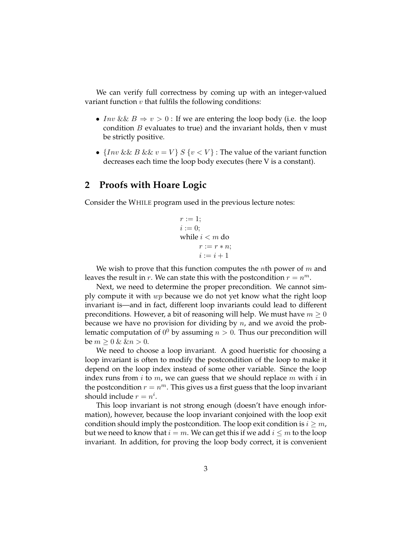We can verify full correctness by coming up with an integer-valued variant function  $v$  that fulfils the following conditions:

- Inv &  $B \Rightarrow v > 0$ : If we are entering the loop body (i.e. the loop condition  $B$  evaluates to true) and the invariant holds, then  $v$  must be strictly positive.
- $\{Inv \&\& B \&\&\ v = V\} S \{v < V\}$ : The value of the variant function decreases each time the loop body executes (here V is a constant).

## **2 Proofs with Hoare Logic**

Consider the WHILE program used in the previous lecture notes:

$$
r := 1;
$$
  
\n
$$
i := 0;
$$
  
\nwhile  $i < m$  do  
\n
$$
r := r * n;
$$
  
\n
$$
i := i + 1
$$

We wish to prove that this function computes the *n*th power of  $m$  and leaves the result in r. We can state this with the postcondition  $r = n^m$ .

Next, we need to determine the proper precondition. We cannot simply compute it with  $wp$  because we do not yet know what the right loop invariant is—and in fact, different loop invariants could lead to different preconditions. However, a bit of reasoning will help. We must have  $m \geq 0$ because we have no provision for dividing by  $n$ , and we avoid the problematic computation of  $0^0$  by assuming  $n > 0$ . Thus our precondition will be  $m \geq 0 \& \& n > 0$ .

We need to choose a loop invariant. A good hueristic for choosing a loop invariant is often to modify the postcondition of the loop to make it depend on the loop index instead of some other variable. Since the loop index runs from  $i$  to  $m$ , we can guess that we should replace  $m$  with  $i$  in the postcondition  $r = n^m$ . This gives us a first guess that the loop invariant should include  $r = n^i$ .

This loop invariant is not strong enough (doesn't have enough information), however, because the loop invariant conjoined with the loop exit condition should imply the postcondition. The loop exit condition is  $i \geq m$ , but we need to know that  $i = m$ . We can get this if we add  $i \leq m$  to the loop invariant. In addition, for proving the loop body correct, it is convenient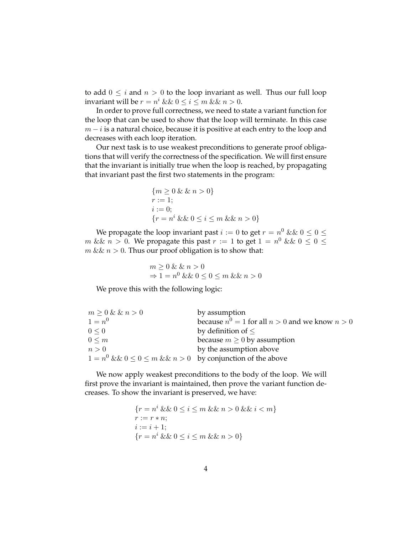to add  $0 \leq i$  and  $n > 0$  to the loop invariant as well. Thus our full loop invariant will be  $r = n^i \&& 0 \leq i \leq m \&& n > 0$ .

In order to prove full correctness, we need to state a variant function for the loop that can be used to show that the loop will terminate. In this case  $m - i$  is a natural choice, because it is positive at each entry to the loop and decreases with each loop iteration.

Our next task is to use weakest preconditions to generate proof obligations that will verify the correctness of the specification. We will first ensure that the invariant is initially true when the loop is reached, by propagating that invariant past the first two statements in the program:

$$
{m \ge 0 & \& \& n > 0} \nr := 1; \ni := 0; \n{r = n^i & \& \& 0 \le i \le m & \& x > 0}
$$

We propagate the loop invariant past  $i := 0$  to get  $r = n^0 \&\&~0 \leq 0 \leq n$  $m \&\& n > 0$ . We propagate this past  $r := 1$  to get  $1 = n^0 \&\& 0 \leq 0 \leq n$  $m \&\& n > 0$ . Thus our proof obligation is to show that:

$$
m \ge 0 \& \& n > 0
$$
\n
$$
\Rightarrow 1 = n^0 \& \& 0 \le 0 \le m \& \& n > 0
$$

We prove this with the following logic:

| $m \geq 0$ & & $n > 0$                                                | by assumption                                         |
|-----------------------------------------------------------------------|-------------------------------------------------------|
| $1 = n^{0}$                                                           | because $n^0 = 1$ for all $n > 0$ and we know $n > 0$ |
| $0 \leq 0$                                                            | by definition of $\leq$                               |
| $0 \leq m$                                                            | because $m \geq 0$ by assumption                      |
| n>0                                                                   | by the assumption above                               |
| $1 = n^0 \&\& 0 \leq 0 \leq m \&\& n > 0$ by conjunction of the above |                                                       |

We now apply weakest preconditions to the body of the loop. We will first prove the invariant is maintained, then prove the variant function decreases. To show the invariant is preserved, we have:

> ${r = n^i \&\& 0 \le i \le m \&\& n > 0 \&\& i < m}$  $r := r * n$ ;  $i := i + 1;$  $\{r = n^i \&\& 0 \le i \le m \&\& n > 0\}$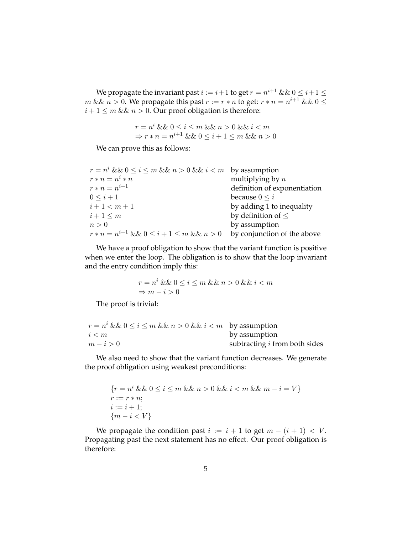We propagate the invariant past  $i := i+1$  to get  $r = n^{i+1} \&\&\ 0 \leq i+1 \leq n$  $m \&\& n > 0$ . We propagate this past  $r := r * n$  to get:  $r * n = n^{i+1} \&\& 0 \leq$  $i + 1 \le m \&\& n > 0$ . Our proof obligation is therefore:

$$
r = n^i \& \& 0 \le i \le m \& \& n > 0 \& \& i < m
$$
\n
$$
\Rightarrow r * n = n^{i+1} \& \& 0 \le i+1 \le m \& \& n > 0
$$

We can prove this as follows:

| $r = n^i \&\& 0 \le i \le m \&\& n > 0 \&\& i < m$ by assumption |                              |
|------------------------------------------------------------------|------------------------------|
| $r * n = n^i * n$                                                | multiplying by $n$           |
| $r * n = n^{i+1}$                                                | definition of exponentiation |
| $0 \leq i+1$                                                     | because $0 \leq i$           |
| $i+1 < m+1$                                                      | by adding 1 to inequality    |
| $i+1 \leq m$                                                     | by definition of $\leq$      |
| n>0                                                              | by assumption                |
| $r * n = n^{i+1} \&\& 0 \leq i+1 \leq m \&\& n > 0$              | by conjunction of the above  |

We have a proof obligation to show that the variant function is positive when we enter the loop. The obligation is to show that the loop invariant and the entry condition imply this:

$$
\begin{array}{l} r=n^i\ \&\&\ 0\leq i\leq m\ \&\&\ n>0\ \&\&\ i0\end{array}
$$

The proof is trivial:

| $r = n^i \&\& 0 \le i \le m \&\& n > 0 \&\& i < m$ by assumption |                                      |
|------------------------------------------------------------------|--------------------------------------|
| i < m                                                            | by assumption                        |
| $m-i>0$                                                          | subtracting <i>i</i> from both sides |

We also need to show that the variant function decreases. We generate the proof obligation using weakest preconditions:

$$
\{r = n^{i} \& 0 \le i \le m \& n > 0 \& k \le n < m \& m - i = V\}
$$
\n
$$
r := r * n;
$$
\n
$$
i := i + 1;
$$
\n
$$
\{m - i < V\}
$$

We propagate the condition past  $i := i + 1$  to get  $m - (i + 1) < V$ . Propagating past the next statement has no effect. Our proof obligation is therefore: